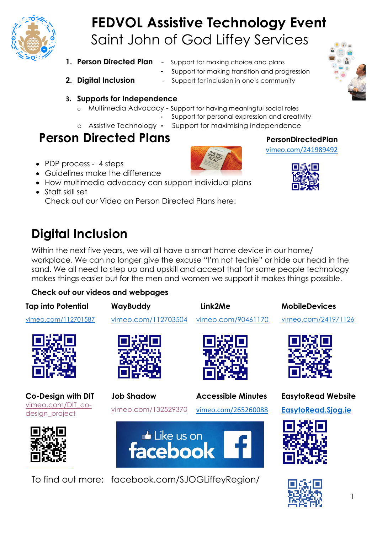

# **FEDVOL Assistive Technology Event** Saint John of God Liffey Services

- 
- **1. Person Directed Plan** Support for making choice and plans
	- **-** Support for making transition and progression
- 
- **2. Digital Inclusion** Support for inclusion in one's community



- **3. Supports for Independence**
	- o Multimedia Advocacy Support for having meaningful social roles
		- **-** Support for personal expression and creativity
	-
	- o Assistive Technology **-** Support for maximising independence

## **Person Directed Plans** PersonDirectedPlan

- PDP process 4 steps
- Guidelines make the difference
- How multimedia advocacy can support individual plans
- Staff skill set Check out our Video on Person Directed Plans here:

## **Digital Inclusion**

Within the next five years, we will all have a smart home device in our home/ workplace. We can no longer give the excuse "I'm not techie" or hide our head in the sand. We all need to step up and upskill and accept that for some people technology makes things easier but for the men and women we support it makes things possible.

### **Check out our videos and webpages**

**Tap into Potential WayBuddy Link2Me MobileDevices** vimeo.com/112701587 vimeo.com/112703504 vimeo.com/241971126 vimeo.com/90461170 **Job Shadow Co-Design with DIT Accessible Minutes EasytoRead Website** vimeo.com/DIT\_covimeo.com/132529370 **EasytoRead.Sjog.ie**  vimeo.com/265260088 design\_project Like us on facebook

To find out more: facebook.com/SJOGLiffeyRegion/



vimeo.com/241989492



1